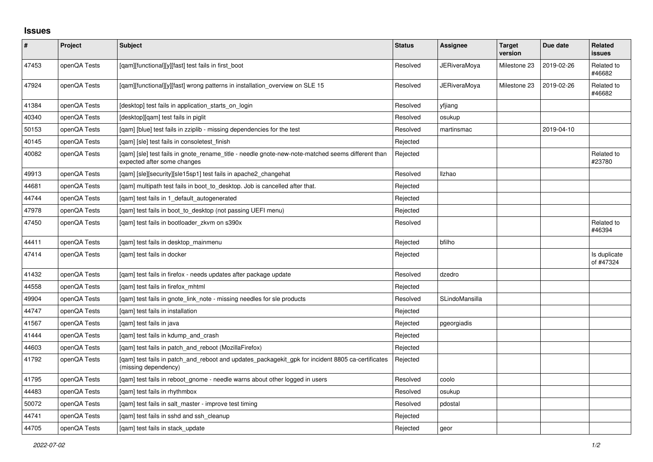## **Issues**

| $\pmb{\#}$ | Project      | <b>Subject</b>                                                                                                                   | <b>Status</b> | <b>Assignee</b>     | <b>Target</b><br>version | Due date   | Related<br><b>issues</b>  |
|------------|--------------|----------------------------------------------------------------------------------------------------------------------------------|---------------|---------------------|--------------------------|------------|---------------------------|
| 47453      | openQA Tests | [qam][functional][y][fast] test fails in first_boot                                                                              | Resolved      | <b>JERiveraMoya</b> | Milestone 23             | 2019-02-26 | Related to<br>#46682      |
| 47924      | openQA Tests | [gam][functional][y][fast] wrong patterns in installation overview on SLE 15                                                     | Resolved      | JERiveraMova        | Milestone 23             | 2019-02-26 | Related to<br>#46682      |
| 41384      | openQA Tests | [desktop] test fails in application starts on login                                                                              | Resolved      | yfjiang             |                          |            |                           |
| 40340      | openQA Tests | [desktop][gam] test fails in piglit                                                                                              | Resolved      | osukup              |                          |            |                           |
| 50153      | openQA Tests | [gam] [blue] test fails in zziplib - missing dependencies for the test                                                           | Resolved      | martinsmac          |                          | 2019-04-10 |                           |
| 40145      | openQA Tests | [gam] [sle] test fails in consoletest finish                                                                                     | Rejected      |                     |                          |            |                           |
| 40082      | openQA Tests | [qam] [sle] test fails in gnote_rename_title - needle gnote-new-note-matched seems different than<br>expected after some changes | Rejected      |                     |                          |            | Related to<br>#23780      |
| 49913      | openQA Tests | [qam] [sle][security][sle15sp1] test fails in apache2_changehat                                                                  | Resolved      | Ilzhao              |                          |            |                           |
| 44681      | openQA Tests | [gam] multipath test fails in boot to desktop. Job is cancelled after that.                                                      | Rejected      |                     |                          |            |                           |
| 44744      | openQA Tests | [gam] test fails in 1 default autogenerated                                                                                      | Rejected      |                     |                          |            |                           |
| 47978      | openQA Tests | [gam] test fails in boot to desktop (not passing UEFI menu)                                                                      | Rejected      |                     |                          |            |                           |
| 47450      | openQA Tests | [gam] test fails in bootloader zkym on s390x                                                                                     | Resolved      |                     |                          |            | Related to<br>#46394      |
| 44411      | openQA Tests | [gam] test fails in desktop mainmenu                                                                                             | Rejected      | bfilho              |                          |            |                           |
| 47414      | openQA Tests | [gam] test fails in docker                                                                                                       | Rejected      |                     |                          |            | Is duplicate<br>of #47324 |
| 41432      | openQA Tests | [gam] test fails in firefox - needs updates after package update                                                                 | Resolved      | dzedro              |                          |            |                           |
| 44558      | openQA Tests | [gam] test fails in firefox mhtml                                                                                                | Rejected      |                     |                          |            |                           |
| 49904      | openQA Tests | [gam] test fails in gnote link note - missing needles for sle products                                                           | Resolved      | SLindoMansilla      |                          |            |                           |
| 44747      | openQA Tests | [gam] test fails in installation                                                                                                 | Rejected      |                     |                          |            |                           |
| 41567      | openQA Tests | [qam] test fails in java                                                                                                         | Rejected      | pgeorgiadis         |                          |            |                           |
| 41444      | openQA Tests | [gam] test fails in kdump and crash                                                                                              | Rejected      |                     |                          |            |                           |
| 44603      | openQA Tests | [qam] test fails in patch_and_reboot (MozillaFirefox)                                                                            | Rejected      |                     |                          |            |                           |
| 41792      | openQA Tests | [qam] test fails in patch_and_reboot and updates_packagekit_gpk for incident 8805 ca-certificates<br>(missing dependency)        | Rejected      |                     |                          |            |                           |
| 41795      | openQA Tests | [gam] test fails in reboot gnome - needle warns about other logged in users                                                      | Resolved      | coolo               |                          |            |                           |
| 44483      | openQA Tests | [gam] test fails in rhythmbox                                                                                                    | Resolved      | osukup              |                          |            |                           |
| 50072      | openQA Tests | [gam] test fails in salt master - improve test timing                                                                            | Resolved      | pdostal             |                          |            |                           |
| 44741      | openQA Tests | [gam] test fails in sshd and ssh cleanup                                                                                         | Rejected      |                     |                          |            |                           |
| 44705      | openQA Tests | [gam] test fails in stack update                                                                                                 | Rejected      | geor                |                          |            |                           |